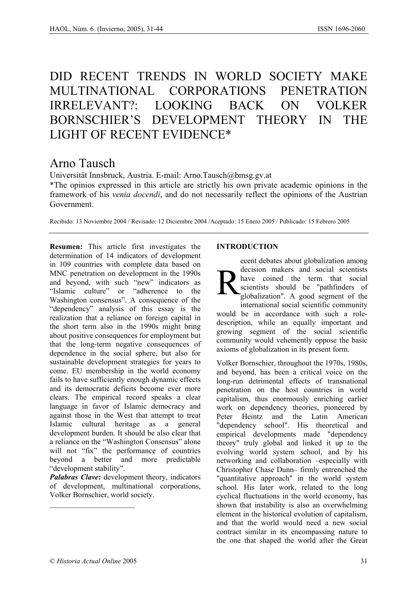# DID RECENT TRENDS IN WORLD SOCIETY MAKE MULTINATIONAL CORPORATIONS PENETRATION IRRELEVANT?: LOOKING BACK ON VOLKER BORNSCHIER'S DEVELOPMENT THEORY IN THE LIGHT OF RECENT EVIDENCE\*

# Arno Tausch

Universität Innsbruck, Austria. E-mail: Arno.Tausch@bmsg.gv.at

\*The opinios expressed in this article are strictly his own private academic opinions in the framework of his *venia docendi*, and do not necessarily reflect the opinions of the Austrian Government.

Recibido: 13 Noviembre 2004 / Revisado: 12 Diciembre 2004 /Aceptado: 15 Enero 2005 / Publicado: 15 Febrero 2005

**Resumen:** This article first investigates the determination of 14 indicators of development in 109 countries with complete data based on MNC penetration on development in the 1990s and beyond, with such "new" indicators as "Islamic culture" or "adherence to the Washington consensus". A consequence of the "dependency" analysis of this essay is the realization that a reliance on foreign capital in the short term also in the 1990s might bring about positive consequences for employment but that the long-term negative consequences of dependence in the social sphere, but also for sustainable development strategies for years to come. EU membership in the world economy fails to have sufficiently enough dynamic effects and its democratic deficits become ever more clears. The empirical record speaks a clear language in favor of Islamic democracy and against those in the West that attempt to treat Islamic cultural heritage as a general development burden. It should be also clear that a reliance on the "Washington Consensus" alone will not "fix" the performance of countries beyond a better and more predictable "development stability".

*Palabras Clave*: development theory, indicators of development, multinational corporations, Volker Bornschier, world society.

# **INTRODUCTION**

ecent debates about globalization among decision makers and social scientists have coined the term that social scientists should be "pathfinders of globalization". A good segment of the international social scientific community R

would be in accordance with such a roledescription, while an equally important and growing segment of the social scientific community would vehemently oppose the basic axioms of globalization in its present form.

Volker Bornschier, throughout the 1970s, 1980s, and beyond, has been a critical voice on the long-run detrimental effects of transnational penetration on the host countries in world capitalism, thus enormously enriching earlier work on dependency theories, pioneered by Peter Heintz and the Latin American "dependency school". His theoretical and empirical developments made "dependency theory" truly global and linked it up to the evolving world system school, and by his networking and collaboration –especially with Christopher Chase Dunn– firmly entrenched the "quantitative approach" in the world system school. His later work, related to the long cyclical fluctuations in the world economy, has shown that instability is also an overwhelming element in the historical evolution of capitalism, and that the world would need a new social contract similar in its encompassing nature to the one that shaped the world after the Great

 $\mathcal{L}_\text{max}$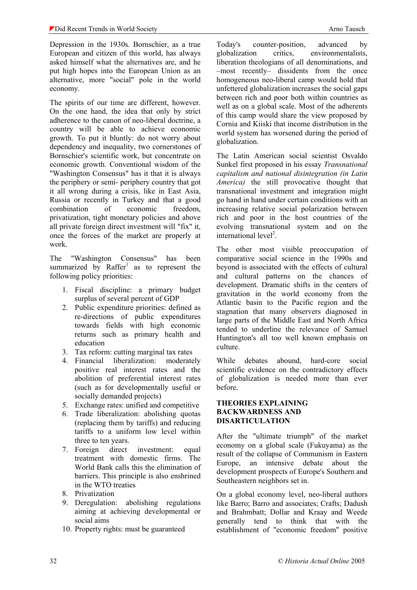Depression in the 1930s. Bornschier, as a true European and citizen of this world, has always asked himself what the alternatives are, and he put high hopes into the European Union as an alternative, more "social" pole in the world economy.

The spirits of our time are different, however. On the one hand, the idea that only by strict adherence to the canon of neo-liberal doctrine, a country will be able to achieve economic growth. To put it bluntly: do not worry about dependency and inequality, two cornerstones of Bornschier's scientific work, but concentrate on economic growth. Conventional wisdom of the "Washington Consensus" has it that it is always the periphery or semi- periphery country that got it all wrong during a crisis, like in East Asia, Russia or recently in Turkey and that a good combination of economic freedom, privatization, tight monetary policies and above all private foreign direct investment will "fix" it, once the forces of the market are properly at work.

The "Washington Consensus" has been summarized by  $\text{Raffer}^1$  as to represent the following policy priorities:

- 1. Fiscal discipline: a primary budget surplus of several percent of GDP
- 2. Public expenditure priorities: defined as re-directions of public expenditures towards fields with high economic returns such as primary health and education
- 3. Tax reform: cutting marginal tax rates
- 4. Financial liberalization: moderately positive real interest rates and the abolition of preferential interest rates (such as for developmentally useful or socially demanded projects)
- 5. Exchange rates: unified and competitive
- 6. Trade liberalization: abolishing quotas (replacing them by tariffs) and reducing tariffs to a uniform low level within three to ten years.
- 7. Foreign direct investment: equal treatment with domestic firms. The World Bank calls this the elimination of barriers. This principle is also enshrined in the WTO treaties
- 8. Privatization
- 9. Deregulation: abolishing regulations aiming at achieving developmental or social aims
- 10. Property rights: must be guaranteed

Today's counter-position, advanced by globalization critics, environmentalists, liberation theologians of all denominations, and –most recently– dissidents from the once homogeneous neo-liberal camp would hold that unfettered globalization increases the social gaps between rich and poor both within countries as well as on a global scale. Most of the adherents of this camp would share the view proposed by Cornia and Kiiski that income distribution in the world system has worsened during the period of globalization.

The Latin American social scientist Osvaldo Sunkel first proposed in his essay *Transnational capitalism and national disintegration (in Latin America)* the still provocative thought that transnational investment and integration might go hand in hand under certain conditions with an increasing relative social polarization between rich and poor in the host countries of the evolving transnational system and on the international level<sup>2</sup>.

The other most visible preoccupation of comparative social science in the 1990s and beyond is associated with the effects of cultural and cultural patterns on the chances of development. Dramatic shifts in the centers of gravitation in the world economy from the Atlantic basin to the Pacific region and the stagnation that many observers diagnosed in large parts of the Middle East and North Africa tended to underline the relevance of Samuel Huntington's all too well known emphasis on culture.

While debates abound, hard-core social scientific evidence on the contradictory effects of globalization is needed more than ever before.

# **THEORIES EXPLAINING BACKWARDNESS AND DISARTICULATION**

After the "ultimate triumph" of the market economy on a global scale (Fukuyama) as the result of the collapse of Communism in Eastern Europe, an intensive debate about the development prospects of Europe's Southern and Southeastern neighbors set in.

On a global economy level, neo-liberal authors like Barro; Barro and associates; Crafts; Dadush and Brahmbatt; Dollar and Kraay and Weede generally tend to think that with the establishment of "economic freedom" positive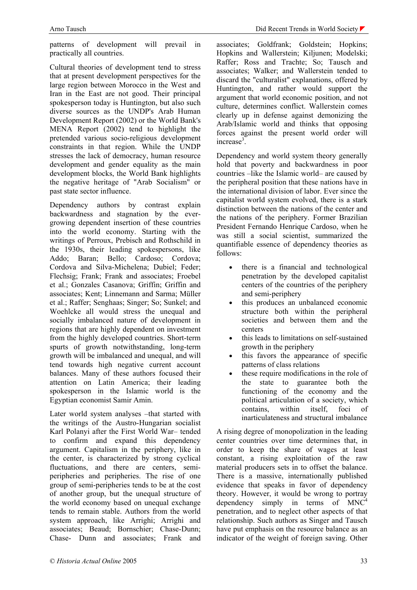patterns of development will prevail in practically all countries.

Cultural theories of development tend to stress that at present development perspectives for the large region between Morocco in the West and Iran in the East are not good. Their principal spokesperson today is Huntington, but also such diverse sources as the UNDP's Arab Human Development Report (2002) or the World Bank's MENA Report (2002) tend to highlight the pretended various socio-religious development constraints in that region. While the UNDP stresses the lack of democracy, human resource development and gender equality as the main development blocks, the World Bank highlights the negative heritage of "Arab Socialism" or past state sector influence.

Dependency authors by contrast explain backwardness and stagnation by the evergrowing dependent insertion of these countries into the world economy. Starting with the writings of Perroux, Prebisch and Rothschild in the 1930s, their leading spokespersons, like Addo; Baran; Bello; Cardoso; Cordova; Cordova and Silva-Michelena; Dubiel; Feder; Flechsig; Frank; Frank and associates; Froebel et al.; Gonzales Casanova; Griffin; Griffin and associates; Kent; Linnemann and Sarma; Müller et al.; Raffer; Senghaas; Singer; So; Sunkel; and Woehlcke all would stress the unequal and socially imbalanced nature of development in regions that are highly dependent on investment from the highly developed countries. Short-term spurts of growth notwithstanding, long-term growth will be imbalanced and unequal, and will tend towards high negative current account balances. Many of these authors focused their attention on Latin America; their leading spokesperson in the Islamic world is the Egyptian economist Samir Amin.

Later world system analyses –that started with the writings of the Austro-Hungarian socialist Karl Polanyi after the First World War– tended to confirm and expand this dependency argument. Capitalism in the periphery, like in the center, is characterized by strong cyclical fluctuations, and there are centers, semiperipheries and peripheries. The rise of one group of semi-peripheries tends to be at the cost of another group, but the unequal structure of the world economy based on unequal exchange tends to remain stable. Authors from the world system approach, like Arrighi; Arrighi and associates; Beaud; Bornschier; Chase-Dunn; Chase- Dunn and associates; Frank and

associates; Goldfrank; Goldstein; Hopkins; Hopkins and Wallerstein; Kiljunen; Modelski; Raffer; Ross and Trachte; So; Tausch and associates; Walker; and Wallerstein tended to discard the "culturalist" explanations, offered by Huntington, and rather would support the argument that world economic position, and not culture, determines conflict. Wallerstein comes clearly up in defense against demonizing the Arab/Islamic world and thinks that opposing forces against the present world order will increase<sup>3</sup>.

Dependency and world system theory generally hold that poverty and backwardness in poor countries –like the Islamic world– are caused by the peripheral position that these nations have in the international division of labor. Ever since the capitalist world system evolved, there is a stark distinction between the nations of the center and the nations of the periphery. Former Brazilian President Fernando Henrique Cardoso, when he was still a social scientist, summarized the quantifiable essence of dependency theories as follows:

- there is a financial and technological penetration by the developed capitalist centers of the countries of the periphery and semi-periphery
- this produces an unbalanced economic structure both within the peripheral societies and between them and the centers
- this leads to limitations on self-sustained growth in the periphery
- this favors the appearance of specific patterns of class relations
- these require modifications in the role of the state to guarantee both the functioning of the economy and the political articulation of a society, which contains, within itself, foci of inarticulateness and structural imbalance

A rising degree of monopolization in the leading center countries over time determines that, in order to keep the share of wages at least constant, a rising exploitation of the raw material producers sets in to offset the balance. There is a massive, internationally published evidence that speaks in favor of dependency theory. However, it would be wrong to portray dependency simply in terms of  $MNC<sup>4</sup>$ penetration, and to neglect other aspects of that relationship. Such authors as Singer and Tausch have put emphasis on the resource balance as an indicator of the weight of foreign saving. Other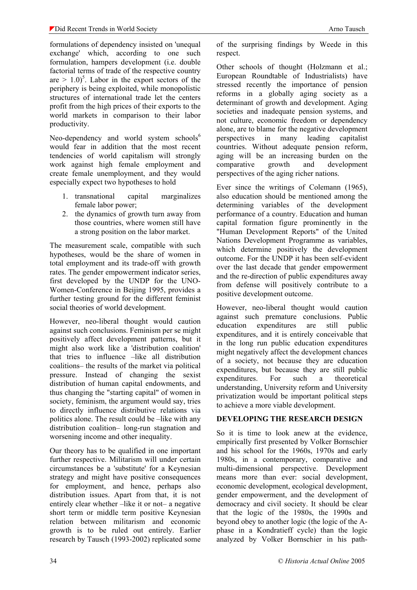formulations of dependency insisted on 'unequal exchange' which, according to one such formulation, hampers development (i.e. double factorial terms of trade of the respective country are  $> 1.0$ <sup>5</sup>. Labor in the export sectors of the periphery is being exploited, while monopolistic structures of international trade let the centers profit from the high prices of their exports to the world markets in comparison to their labor productivity.

Neo-dependency and world system schools<sup>6</sup> would fear in addition that the most recent tendencies of world capitalism will strongly work against high female employment and create female unemployment, and they would especially expect two hypotheses to hold

- 1. transnational capital marginalizes female labor power;
- 2. the dynamics of growth turn away from those countries, where women still have a strong position on the labor market.

The measurement scale, compatible with such hypotheses, would be the share of women in total employment and its trade-off with growth rates. The gender empowerment indicator series, first developed by the UNDP for the UNO-Women-Conference in Beijing 1995, provides a further testing ground for the different feminist social theories of world development.

However, neo-liberal thought would caution against such conclusions. Feminism per se might positively affect development patterns, but it might also work like a 'distribution coalition' that tries to influence –like all distribution coalitions– the results of the market via political pressure. Instead of changing the sexist distribution of human capital endowments, and thus changing the "starting capital" of women in society, feminism, the argument would say, tries to directly influence distributive relations via politics alone. The result could be –like with any distribution coalition– long-run stagnation and worsening income and other inequality.

Our theory has to be qualified in one important further respective. Militarism will under certain circumstances be a 'substitute' for a Keynesian strategy and might have positive consequences for employment, and hence, perhaps also distribution issues. Apart from that, it is not entirely clear whether –like it or not– a negative short term or middle term positive Keynesian relation between militarism and economic growth is to be ruled out entirely. Earlier research by Tausch (1993-2002) replicated some of the surprising findings by Weede in this respect.

Other schools of thought (Holzmann et al.; European Roundtable of Industrialists) have stressed recently the importance of pension reforms in a globally aging society as a determinant of growth and development. Aging societies and inadequate pension systems, and not culture, economic freedom or dependency alone, are to blame for the negative development perspectives in many leading capitalist countries. Without adequate pension reform, aging will be an increasing burden on the comparative growth and development perspectives of the aging richer nations.

Ever since the writings of Colemann (1965), also education should be mentioned among the determining variables of the development performance of a country. Education and human capital formation figure prominently in the "Human Development Reports" of the United Nations Development Programme as variables, which determine positively the development outcome. For the UNDP it has been self-evident over the last decade that gender empowerment and the re-direction of public expenditures away from defense will positively contribute to a positive development outcome.

However, neo-liberal thought would caution against such premature conclusions. Public education expenditures are still public expenditures, and it is entirely conceivable that in the long run public education expenditures might negatively affect the development chances of a society, not because they are education expenditures, but because they are still public expenditures. For such a theoretical understanding, University reform and University privatization would be important political steps to achieve a more viable development.

# **DEVELOPING THE RESEARCH DESIGN**

So it is time to look anew at the evidence, empirically first presented by Volker Bornschier and his school for the 1960s, 1970s and early 1980s, in a contemporary, comparative and multi-dimensional perspective. Development means more than ever: social development, economic development, ecological development, gender empowerment, and the development of democracy and civil society. It should be clear that the logic of the 1980s, the 1990s and beyond obey to another logic (the logic of the Aphase in a Kondratieff cycle) than the logic analyzed by Volker Bornschier in his path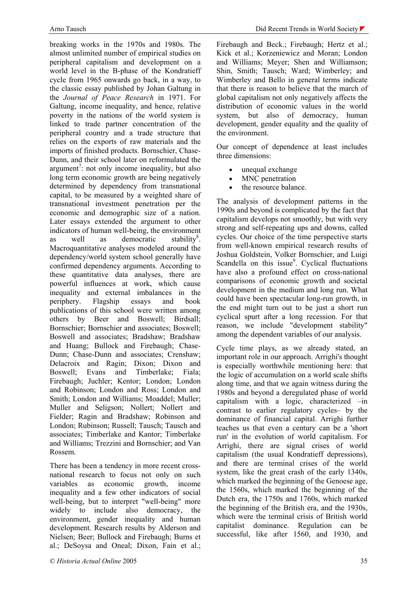breaking works in the 1970s and 1980s. The almost unlimited number of empirical studies on peripheral capitalism and development on a world level in the B-phase of the Kondratieff cycle from 1965 onwards go back, in a way, to the classic essay published by Johan Galtung in the *Journal of Peace Research* in 1971. For Galtung, income inequality, and hence, relative poverty in the nations of the world system is linked to trade partner concentration of the peripheral country and a trade structure that relies on the exports of raw materials and the imports of finished products. Bornschier, Chase-Dunn, and their school later on reformulated the argument<sup>7</sup>: not only income inequality, but also long term economic growth are being negatively determined by dependency from transnational capital, to be measured by a weighted share of transnational investment penetration per the economic and demographic size of a nation. Later essays extended the argument to other indicators of human well-being, the environment as well as democratic stability<sup>8</sup>. Macroquantitative analyses modeled around the dependency/world system school generally have confirmed dependency arguments. According to these quantitative data analyses, there are powerful influences at work, which cause inequality and external imbalances in the periphery. Flagship essays and book publications of this school were written among others by Beer and Boswell; Birdsall; Bornschier; Bornschier and associates; Boswell; Boswell and associates; Bradshaw; Bradshaw and Huang; Bullock and Firebaugh; Chase-Dunn; Chase-Dunn and associates; Crenshaw; Delacroix and Ragin; Dixon; Dixon and Boswell; Evans and Timberlake; Fiala; Firebaugh; Juchler; Kentor; London; London and Robinson; London and Ross; London and Smith; London and Williams; Moaddel; Muller; Muller and Seligson; Nollert; Nollert and Fielder; Ragin and Bradshaw; Robinson and London; Rubinson; Russell; Tausch; Tausch and associates; Timberlake and Kantor; Timberlake and Williams; Trezzini and Bornschier; and Van Rossem.

There has been a tendency in more recent crossnational research to focus not only on such variables as economic growth, income inequality and a few other indicators of social well-being, but to interpret "well-being" more widely to include also democracy, the environment, gender inequality and human development. Research results by Alderson and Nielsen; Beer; Bullock and Firebaugh; Burns et al.; DeSoysa and Oneal; Dixon, Fain et al.;

Firebaugh and Beck.; Firebaugh; Hertz et al.; Kick et al.; Korzeniewicz and Moran; London and Williams; Meyer; Shen and Williamson; Shin, Smith; Tausch; Ward; Wimberley; and Wimberley and Bello in general terms indicate that there is reason to believe that the march of global capitalism not only negatively affects the distribution of economic values in the world system, but also of democracy, human development, gender equality and the quality of the environment.

Our concept of dependence at least includes three dimensions:

- unequal exchange
- MNC penetration
- the resource balance.

The analysis of development patterns in the 1990s and beyond is complicated by the fact that capitalism develops not smoothly, but with very strong and self-repeating ups and downs, called cycles. Our choice of the time perspective starts from well-known empirical research results of Joshua Goldstein, Volker Bornschier, and Luigi Scandella on this issue<sup>9</sup>. Cyclical fluctuations have also a profound effect on cross-national comparisons of economic growth and societal development in the medium and long run. What could have been spectacular long-run growth, in the end might turn out to be just a short run cyclical spurt after a long recession. For that reason, we include "development stability" among the dependent variables of our analysis.

Cycle time plays, as we already stated, an important role in our approach. Arrighi's thought is especially worthwhile mentioning here: that the logic of accumulation on a world scale shifts along time, and that we again witness during the 1980s and beyond a deregulated phase of world capitalism with a logic, characterized –in contrast to earlier regulatory cycles– by the dominance of financial capital. Arrighi further teaches us that even a century can be a 'short run' in the evolution of world capitalism. For Arrighi, there are signal crises of world capitalism (the usual Kondratieff depressions), and there are terminal crises of the world system, like the great crash of the early 1340s, which marked the beginning of the Genoese age, the 1560s, which marked the beginning of the Dutch era, the 1750s and 1760s, which marked the beginning of the British era, and the 1930s, which were the terminal crisis of British world capitalist dominance. Regulation can be successful, like after 1560, and 1930, and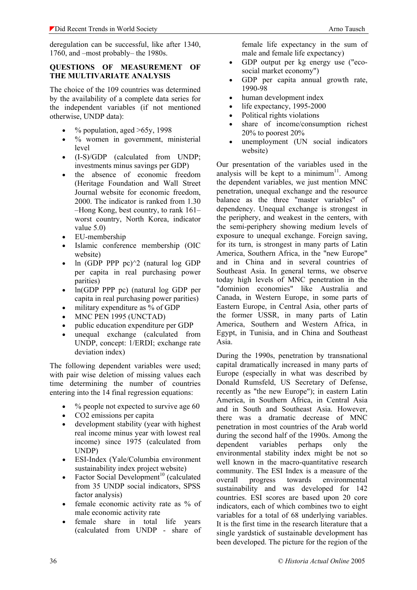deregulation can be successful, like after 1340, 1760, and –most probably– the 1980s.

# **QUESTIONS OF MEASUREMENT OF THE MULTIVARIATE ANALYSIS**

The choice of the 109 countries was determined by the availability of a complete data series for the independent variables (if not mentioned otherwise, UNDP data):

- $%$  population, aged  $>65y$ , 1998
- $\bullet$  % women in government, ministerial level
- (I-S)/GDP (calculated from UNDP; investments minus savings per GDP)
- the absence of economic freedom (Heritage Foundation and Wall Street Journal website for economic freedom, 2000. The indicator is ranked from 1.30 –Hong Kong, best country, to rank 161– worst country, North Korea, indicator value 5.0)
- EU-membership
- Islamic conference membership (OIC website)
- ln  $(GDP PPP pc)^2$  (natural log GDP per capita in real purchasing power parities)
- ln(GDP PPP pc) (natural log GDP per capita in real purchasing power parities)
- military expenditure as % of GDP
- MNC PEN 1995 (UNCTAD)
- public education expenditure per GDP
- unequal exchange (calculated from UNDP, concept: 1/ERDI; exchange rate deviation index)

The following dependent variables were used; with pair wise deletion of missing values each time determining the number of countries entering into the 14 final regression equations:

- $%$  people not expected to survive age 60
- CO2 emissions per capita
- development stability (year with highest real income minus year with lowest real income) since 1975 (calculated from UNDP)
- ESI-Index (Yale/Columbia environment sustainability index project website)
- Factor Social Development<sup>10</sup> (calculated from 35 UNDP social indicators, SPSS factor analysis)
- female economic activity rate as % of male economic activity rate
- female share in total life years (calculated from UNDP - share of

female life expectancy in the sum of male and female life expectancy)

- GDP output per kg energy use ("ecosocial market economy")
- GDP per capita annual growth rate, 1990-98
- human development index
- life expectancy, 1995-2000
- Political rights violations
- share of income/consumption richest 20% to poorest 20%
- unemployment (UN social indicators website)

Our presentation of the variables used in the analysis will be kept to a minimum<sup>11</sup>. Among the dependent variables, we just mention MNC penetration, unequal exchange and the resource balance as the three "master variables" of dependency. Unequal exchange is strongest in the periphery, and weakest in the centers, with the semi-periphery showing medium levels of exposure to unequal exchange. Foreign saving, for its turn, is strongest in many parts of Latin America, Southern Africa, in the "new Europe" and in China and in several countries of Southeast Asia. In general terms, we observe today high levels of MNC penetration in the "dominion economies" like Australia and Canada, in Western Europe, in some parts of Eastern Europe, in Central Asia, other parts of the former USSR, in many parts of Latin America, Southern and Western Africa, in Egypt, in Tunisia, and in China and Southeast Asia.

During the 1990s, penetration by transnational capital dramatically increased in many parts of Europe (especially in what was described by Donald Rumsfeld, US Secretary of Defense, recently as "the new Europe"); in eastern Latin America, in Southern Africa, in Central Asia and in South and Southeast Asia. However, there was a dramatic decrease of MNC penetration in most countries of the Arab world during the second half of the 1990s. Among the dependent variables perhaps only the environmental stability index might be not so well known in the macro-quantitative research community. The ESI Index is a measure of the overall progress towards environmental sustainability and was developed for 142 countries. ESI scores are based upon 20 core indicators, each of which combines two to eight variables for a total of 68 underlying variables. It is the first time in the research literature that a single yardstick of sustainable development has been developed. The picture for the region of the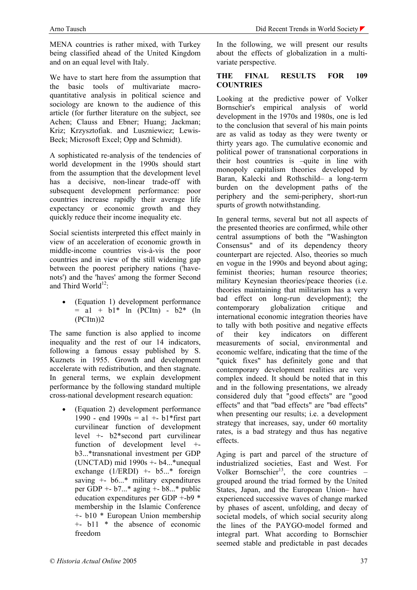MENA countries is rather mixed, with Turkey being classified ahead of the United Kingdom and on an equal level with Italy.

We have to start here from the assumption that the basic tools of multivariate macroquantitative analysis in political science and sociology are known to the audience of this article (for further literature on the subject, see Achen; Clauss and Ebner; Huang; Jackman; Kriz; Krzysztofiak. and Luszniewicz; Lewis-Beck; Microsoft Excel; Opp and Schmidt).

A sophisticated re-analysis of the tendencies of world development in the 1990s should start from the assumption that the development level has a decisive, non-linear trade-off with subsequent development performance: poor countries increase rapidly their average life expectancy or economic growth and they quickly reduce their income inequality etc.

Social scientists interpreted this effect mainly in view of an acceleration of economic growth in middle-income countries vis-à-vis the poor countries and in view of the still widening gap between the poorest periphery nations ('havenots') and the 'haves' among the former Second and Third World $^{12}$ :

• (Equation 1) development performance  $=$  a1 + b1\* ln (PCItn) - b2\* (ln  $(PCltn))2$ 

The same function is also applied to income inequality and the rest of our 14 indicators, following a famous essay published by S. Kuznets in 1955. Growth and development accelerate with redistribution, and then stagnate. In general terms, we explain development performance by the following standard multiple cross-national development research equation:

• (Equation 2) development performance 1990 - end 1990s = a1 +-  $b1$ <sup>\*</sup>first part curvilinear function of development level +- b2\*second part curvilinear function of development level + b3...\*transnational investment per GDP (UNCTAD) mid  $1990s + b4$ ...\*unequal exchange  $(1/ERDI)$  +-  $b5...$ \* foreign saving  $+$ - b6...\* military expenditures per GDP  $+$ - b7...\* aging  $+$ - b8...\* public education expenditures per GDP +-b9 \* membership in the Islamic Conference +- b10 \* European Union membership +- b11 \* the absence of economic freedom

In the following, we will present our results about the effects of globalization in a multivariate perspective.

# **THE FINAL RESULTS FOR 109 COUNTRIES**

Looking at the predictive power of Volker Bornschier's empirical analysis of world development in the 1970s and 1980s, one is led to the conclusion that several of his main points are as valid as today as they were twenty or thirty years ago. The cumulative economic and political power of transnational corporations in their host countries is –quite in line with monopoly capitalism theories developed by Baran, Kalecki and Rothschild– a long-term burden on the development paths of the periphery and the semi-periphery, short-run spurts of growth notwithstanding.

In general terms, several but not all aspects of the presented theories are confirmed, while other central assumptions of both the "Washington Consensus" and of its dependency theory counterpart are rejected. Also, theories so much en vogue in the 1990s and beyond about aging; feminist theories; human resource theories; military Keynesian theories/peace theories (i.e. theories maintaining that militarism has a very bad effect on long-run development); the contemporary globalization critique and international economic integration theories have to tally with both positive and negative effects of their key indicators on different measurements of social, environmental and economic welfare, indicating that the time of the "quick fixes" has definitely gone and that contemporary development realities are very complex indeed. It should be noted that in this and in the following presentations, we already considered duly that "good effects" are "good effects" and that "bad effects" are "bad effects" when presenting our results; i.e. a development strategy that increases, say, under 60 mortality rates, is a bad strategy and thus has negative effects.

Aging is part and parcel of the structure of industrialized societies, East and West. For Volker Bornschier<sup>13</sup>, the core countries – grouped around the triad formed by the United States, Japan, and the European Union– have experienced successive waves of change marked by phases of ascent, unfolding, and decay of societal models, of which social security along the lines of the PAYGO-model formed and integral part. What according to Bornschier seemed stable and predictable in past decades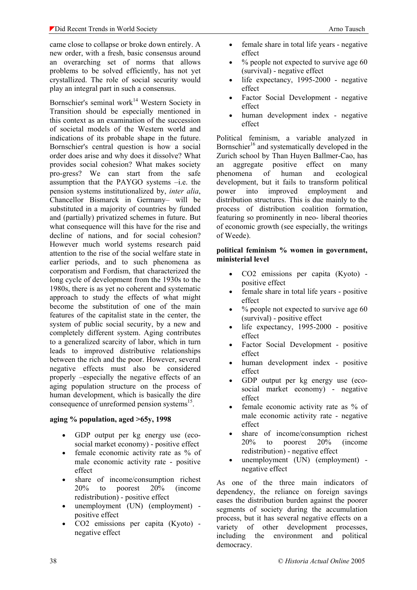came close to collapse or broke down entirely. A new order, with a fresh, basic consensus around an overarching set of norms that allows problems to be solved efficiently, has not yet crystallized. The role of social security would play an integral part in such a consensus.

Bornschier's seminal work<sup>14</sup> Western Society in Transition should be especially mentioned in this context as an examination of the succession of societal models of the Western world and indications of its probable shape in the future. Bornschier's central question is how a social order does arise and why does it dissolve? What provides social cohesion? What makes society pro-gress? We can start from the safe assumption that the PAYGO systems –i.e. the pension systems institutionalized by, *inter alia*, Chancellor Bismarck in Germany– will be substituted in a majority of countries by funded and (partially) privatized schemes in future. But what consequence will this have for the rise and decline of nations, and for social cohesion? However much world systems research paid attention to the rise of the social welfare state in earlier periods, and to such phenomena as corporatism and Fordism, that characterized the long cycle of development from the 1930s to the 1980s, there is as yet no coherent and systematic approach to study the effects of what might become the substitution of one of the main features of the capitalist state in the center, the system of public social security, by a new and completely different system. Aging contributes to a generalized scarcity of labor, which in turn leads to improved distributive relationships between the rich and the poor. However, several negative effects must also be considered properly –especially the negative effects of an aging population structure on the process of human development, which is basically the dire consequence of unreformed pension systems $^{15}$ .

# **aging % population, aged >65y, 1998**

- GDP output per kg energy use (ecosocial market economy) - positive effect
- female economic activity rate as % of male economic activity rate - positive effect
- share of income/consumption richest 20% to poorest 20% (income redistribution) - positive effect
- unemployment (UN) (employment) positive effect
- CO2 emissions per capita (Kyoto) negative effect
- female share in total life years negative effect
- $\%$  people not expected to survive age 60 (survival) - negative effect
- life expectancy, 1995-2000 negative effect
- Factor Social Development negative effect
- human development index negative effect

Political feminism, a variable analyzed in Bornschier<sup>16</sup> and systematically developed in the Zurich school by Than Huyen Ballmer-Cao, has an aggregate positive effect on many phenomena of human and ecological development, but it fails to transform political power into improved employment and distribution structures. This is due mainly to the process of distribution coalition formation, featuring so prominently in neo- liberal theories of economic growth (see especially, the writings of Weede).

#### **political feminism % women in government, ministerial level**

- CO2 emissions per capita (Kyoto) positive effect
- female share in total life years positive effect
- $\bullet$  % people not expected to survive age 60 (survival) - positive effect
- life expectancy, 1995-2000 positive effect
- Factor Social Development positive effect
- human development index positive effect
- GDP output per kg energy use (ecosocial market economy) - negative effect
- female economic activity rate as % of male economic activity rate - negative effect
- share of income/consumption richest 20% to poorest 20% (income redistribution) - negative effect
- unemployment (UN) (employment) negative effect

As one of the three main indicators of dependency, the reliance on foreign savings eases the distribution burden against the poorer segments of society during the accumulation process, but it has several negative effects on a variety of other development processes, including the environment and political democracy.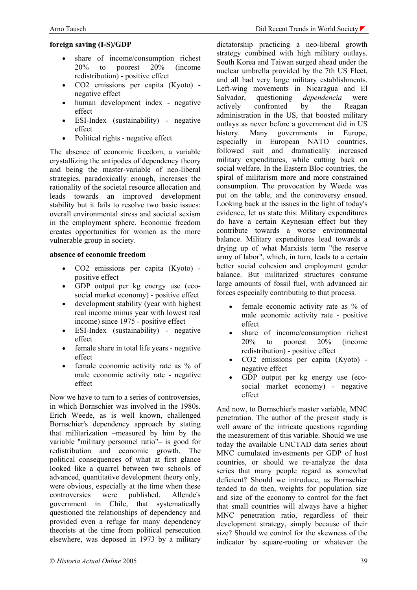#### **foreign saving (I-S)/GDP**

- share of income/consumption richest 20% to poorest 20% (income redistribution) - positive effect
- CO2 emissions per capita (Kyoto) negative effect
- human development index negative effect
- ESI-Index (sustainability) negative effect
- Political rights negative effect

The absence of economic freedom, a variable crystallizing the antipodes of dependency theory and being the master-variable of neo-liberal strategies, paradoxically enough, increases the rationality of the societal resource allocation and leads towards an improved development stability but it fails to resolve two basic issues: overall environmental stress and societal sexism in the employment sphere. Economic freedom creates opportunities for women as the more vulnerable group in society.

#### **absence of economic freedom**

- CO2 emissions per capita (Kyoto) positive effect
- GDP output per kg energy use (ecosocial market economy) - positive effect
- development stability (year with highest real income minus year with lowest real income) since 1975 - positive effect
- ESI-Index (sustainability) negative effect
- female share in total life years negative effect
- female economic activity rate as % of male economic activity rate - negative effect

Now we have to turn to a series of controversies in which Bornschier was involved in the 1980s. Erich Weede, as is well known, challenged Bornschier's dependency approach by stating that militarization –measured by him by the variable "military personnel ratio"– is good for redistribution and economic growth. The political consequences of what at first glance looked like a quarrel between two schools of advanced, quantitative development theory only, were obvious, especially at the time when these controversies were published. Allende's government in Chile, that systematically questioned the relationships of dependency and provided even a refuge for many dependency theorists at the time from political persecution elsewhere, was deposed in 1973 by a military

dictatorship practicing a neo-liberal growth strategy combined with high military outlays. South Korea and Taiwan surged ahead under the nuclear umbrella provided by the 7th US Fleet, and all had very large military establishments. Left-wing movements in Nicaragua and El Salvador, questioning *dependencia* were actively confronted by the Reagan administration in the US, that boosted military outlays as never before a government did in US history. Many governments in Europe, especially in European NATO countries, followed suit and dramatically increased military expenditures, while cutting back on social welfare. In the Eastern Bloc countries, the spiral of militarism more and more constrained consumption. The provocation by Weede was put on the table, and the controversy ensued. Looking back at the issues in the light of today's evidence, let us state this: Military expenditures do have a certain Keynesian effect but they contribute towards a worse environmental balance. Military expenditures lead towards a drying up of what Marxists term "the reserve army of labor", which, in turn, leads to a certain better social cohesion and employment gender balance. But militarized structures consume large amounts of fossil fuel, with advanced air forces especially contributing to that process.

- female economic activity rate as % of male economic activity rate - positive effect
- share of income/consumption richest 20% to poorest 20% (income redistribution) - positive effect
- CO2 emissions per capita (Kyoto) negative effect
- GDP output per kg energy use (ecosocial market economy) - negative effect

And now, to Bornschier's master variable, MNC penetration. The author of the present study is well aware of the intricate questions regarding the measurement of this variable. Should we use today the available UNCTAD data series about MNC cumulated investments per GDP of host countries, or should we re-analyze the data series that many people regard as somewhat deficient? Should we introduce, as Bornschier tended to do then, weights for population size and size of the economy to control for the fact that small countries will always have a higher MNC penetration ratio, regardless of their development strategy, simply because of their size? Should we control for the skewness of the indicator by square-rooting or whatever the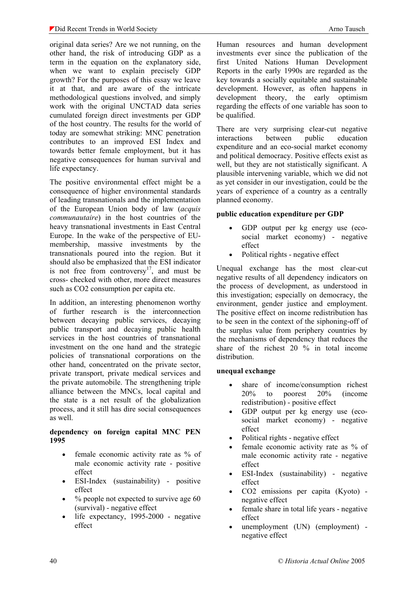original data series? Are we not running, on the other hand, the risk of introducing GDP as a term in the equation on the explanatory side, when we want to explain precisely GDP growth? For the purposes of this essay we leave it at that, and are aware of the intricate methodological questions involved, and simply work with the original UNCTAD data series cumulated foreign direct investments per GDP of the host country. The results for the world of today are somewhat striking: MNC penetration contributes to an improved ESI Index and towards better female employment, but it has negative consequences for human survival and life expectancy.

The positive environmental effect might be a consequence of higher environmental standards of leading transnationals and the implementation of the European Union body of law (*acquis communautaire*) in the host countries of the heavy transnational investments in East Central Europe. In the wake of the perspective of EUmembership, massive investments by the transnationals poured into the region. But it should also be emphasized that the ESI indicator is not free from controversy $17$ , and must be cross- checked with other, more direct measures such as CO2 consumption per capita etc.

In addition, an interesting phenomenon worthy of further research is the interconnection between decaying public services, decaying public transport and decaying public health services in the host countries of transnational investment on the one hand and the strategic policies of transnational corporations on the other hand, concentrated on the private sector, private transport, private medical services and the private automobile. The strengthening triple alliance between the MNCs, local capital and the state is a net result of the globalization process, and it still has dire social consequences as well.

#### **dependency on foreign capital MNC PEN 1995**

- female economic activity rate as % of male economic activity rate - positive effect
- ESI-Index (sustainability) positive effect
- $\bullet$  % people not expected to survive age 60 (survival) - negative effect
- life expectancy, 1995-2000 negative effect

Human resources and human development investments ever since the publication of the first United Nations Human Development Reports in the early 1990s are regarded as the key towards a socially equitable and sustainable development. However, as often happens in development theory, the early optimism regarding the effects of one variable has soon to be qualified.

There are very surprising clear-cut negative interactions between public education expenditure and an eco-social market economy and political democracy. Positive effects exist as well, but they are not statistically significant. A plausible intervening variable, which we did not as yet consider in our investigation, could be the years of experience of a country as a centrally planned economy.

# **public education expenditure per GDP**

- GDP output per kg energy use (ecosocial market economy) - negative effect
- Political rights negative effect

Unequal exchange has the most clear-cut negative results of all dependency indicators on the process of development, as understood in this investigation; especially on democracy, the environment, gender justice and employment. The positive effect on income redistribution has to be seen in the context of the siphoning-off of the surplus value from periphery countries by the mechanisms of dependency that reduces the share of the richest 20 % in total income distribution.

# **unequal exchange**

- share of income/consumption richest 20% to poorest 20% (income redistribution) - positive effect
- GDP output per kg energy use (ecosocial market economy) - negative effect
- Political rights negative effect
- female economic activity rate as % of male economic activity rate - negative effect
- ESI-Index (sustainability) negative effect
- CO2 emissions per capita (Kyoto) negative effect
- female share in total life years negative effect
- unemployment (UN) (employment) negative effect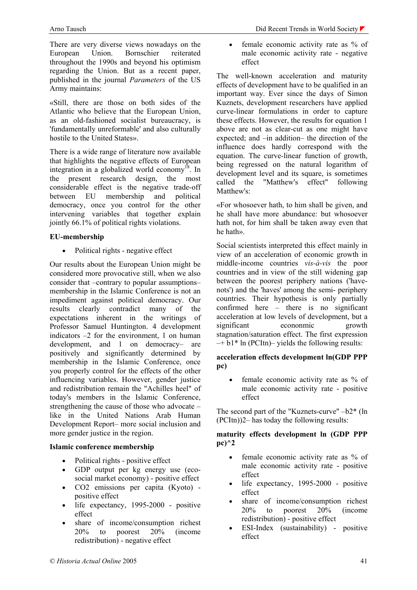There are very diverse views nowadays on the European Union. Bornschier reiterated throughout the 1990s and beyond his optimism regarding the Union. But as a recent paper, published in the journal *Parameters* of the US Army maintains:

«Still, there are those on both sides of the Atlantic who believe that the European Union, as an old-fashioned socialist bureaucracy, is 'fundamentally unreformable' and also culturally hostile to the United States».

There is a wide range of literature now available that highlights the negative effects of European integration in a globalized world economy<sup>18</sup>. In the present research design, the most considerable effect is the negative trade-off between EU membership and political democracy, once you control for the other intervening variables that together explain jointly 66.1% of political rights violations.

# **EU-membership**

• Political rights - negative effect

Our results about the European Union might be considered more provocative still, when we also consider that –contrary to popular assumptions– membership in the Islamic Conference is not an impediment against political democracy. Our results clearly contradict many of the expectations inherent in the writings of Professor Samuel Huntington. 4 development indicators –2 for the environment, 1 on human development, and 1 on democracy– are positively and significantly determined by membership in the Islamic Conference, once you properly control for the effects of the other influencing variables. However, gender justice and redistribution remain the "Achilles heel" of today's members in the Islamic Conference, strengthening the cause of those who advocate – like in the United Nations Arab Human Development Report– more social inclusion and more gender justice in the region.

# **Islamic conference membership**

- Political rights positive effect
- GDP output per kg energy use (ecosocial market economy) - positive effect
- CO2 emissions per capita (Kyoto) positive effect
- life expectancy, 1995-2000 positive effect
- share of income/consumption richest 20% to poorest 20% (income redistribution) - negative effect
- Arno Tausch **Did Recent Trends in World Society** Did Recent Trends in World Society
	- female economic activity rate as % of male economic activity rate - negative effect

The well-known acceleration and maturity effects of development have to be qualified in an important way. Ever since the days of Simon Kuznets, development researchers have applied curve-linear formulations in order to capture these effects. However, the results for equation 1 above are not as clear-cut as one might have expected; and –in addition– the direction of the influence does hardly correspond with the equation. The curve-linear function of growth, being regressed on the natural logarithm of development level and its square, is sometimes called the "Matthew's effect" following Matthew's<sup>.</sup>

«For whosoever hath, to him shall be given, and he shall have more abundance: but whosoever hath not, for him shall be taken away even that he hath».

Social scientists interpreted this effect mainly in view of an acceleration of economic growth in middle-income countries *vis-à-vis* the poor countries and in view of the still widening gap between the poorest periphery nations ('havenots') and the 'haves' among the semi- periphery countries. Their hypothesis is only partially confirmed here – there is no significant acceleration at low levels of development, but a significant econonmic growth stagnation/saturation effect. The first expression  $-+ b1$ <sup>\*</sup> ln (PCItn)– yields the following results:

# **acceleration effects development ln(GDP PPP pc)**

• female economic activity rate as % of male economic activity rate - positive effect

The second part of the "Kuznets-curve" –b2\* (ln (PCItn))2– has today the following results:

#### **maturity effects development ln (GDP PPP pc)^2**

- female economic activity rate as % of male economic activity rate - positive effect
- life expectancy, 1995-2000 positive effect
- share of income/consumption richest 20% to poorest 20% (income redistribution) - positive effect
- ESI-Index (sustainability) positive effect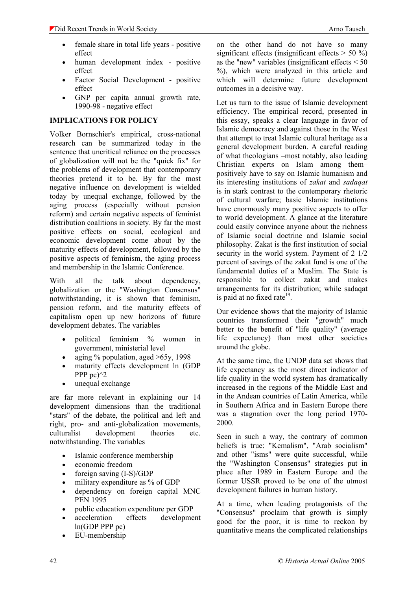- female share in total life years positive effect
- human development index positive effect
- Factor Social Development positive effect
- GNP per capita annual growth rate, 1990-98 - negative effect

# **IMPLICATIONS FOR POLICY**

Volker Bornschier's empirical, cross-national research can be summarized today in the sentence that uncritical reliance on the processes of globalization will not be the "quick fix" for the problems of development that contemporary theories pretend it to be. By far the most negative influence on development is wielded today by unequal exchange, followed by the aging process (especially without pension reform) and certain negative aspects of feminist distribution coalitions in society. By far the most positive effects on social, ecological and economic development come about by the maturity effects of development, followed by the positive aspects of feminism, the aging process and membership in the Islamic Conference.

With all the talk about dependency, globalization or the "Washington Consensus" notwithstanding, it is shown that feminism, pension reform, and the maturity effects of capitalism open up new horizons of future development debates. The variables

- political feminism % women in government, ministerial level
- aging  $\%$  population, aged  $>65v$ , 1998
- maturity effects development ln (GDP PPP pc $\frac{1}{2}$
- unequal exchange

are far more relevant in explaining our 14 development dimensions than the traditional "stars" of the debate, the political and left and right, pro- and anti-globalization movements, culturalist development theories etc. notwithstanding. The variables

- Islamic conference membership
- economic freedom
- foreign saving (I-S)/GDP
- military expenditure as % of GDP
- dependency on foreign capital MNC PEN 1995
- public education expenditure per GDP
- acceleration effects development ln(GDP PPP pc)
- EU-membership

on the other hand do not have so many significant effects (insignificant effects  $>$  50 %) as the "new" variables (insignificant effects  $\leq 50$ ) %), which were analyzed in this article and which will determine future development outcomes in a decisive way.

Let us turn to the issue of Islamic development efficiency. The empirical record, presented in this essay, speaks a clear language in favor of Islamic democracy and against those in the West that attempt to treat Islamic cultural heritage as a general development burden. A careful reading of what theologians –most notably, also leading Christian experts on Islam among them– positively have to say on Islamic humanism and its interesting institutions of *zakat* and *sadaqat* is in stark contrast to the contemporary rhetoric of cultural warfare; basic Islamic institutions have enormously many positive aspects to offer to world development. A glance at the literature could easily convince anyone about the richness of Islamic social doctrine and Islamic social philosophy. Zakat is the first institution of social security in the world system. Payment of 2 1/2 percent of savings of the zakat fund is one of the fundamental duties of a Muslim. The State is responsible to collect zakat and makes arrangements for its distribution; while sadaqat is paid at no fixed rate<sup>19</sup>.

Our evidence shows that the majority of Islamic countries transformed their "growth" much better to the benefit of "life quality" (average life expectancy) than most other societies around the globe.

At the same time, the UNDP data set shows that life expectancy as the most direct indicator of life quality in the world system has dramatically increased in the regions of the Middle East and in the Andean countries of Latin America, while in Southern Africa and in Eastern Europe there was a stagnation over the long period 1970- 2000.

Seen in such a way, the contrary of common beliefs is true: "Kemalism", "Arab socialism" and other "isms" were quite successful, while the "Washington Consensus" strategies put in place after 1989 in Eastern Europe and the former USSR proved to be one of the utmost development failures in human history.

At a time, when leading protagonists of the "Consensus" proclaim that growth is simply good for the poor, it is time to reckon by quantitative means the complicated relationships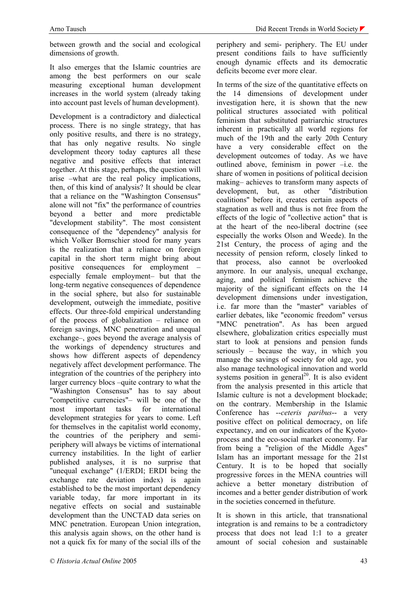between growth and the social and ecological dimensions of growth.

It also emerges that the Islamic countries are among the best performers on our scale measuring exceptional human development increases in the world system (already taking into account past levels of human development).

Development is a contradictory and dialectical process. There is no single strategy, that has only positive results, and there is no strategy, that has only negative results. No single development theory today captures all these negative and positive effects that interact together. At this stage, perhaps, the question will arise –what are the real policy implications, then, of this kind of analysis? It should be clear that a reliance on the "Washington Consensus" alone will not "fix" the performance of countries beyond a better and more predictable "development stability". The most consistent consequence of the "dependency" analysis for which Volker Bornschier stood for many years is the realization that a reliance on foreign capital in the short term might bring about positive consequences for employment – especially female employment– but that the long-term negative consequences of dependence in the social sphere, but also for sustainable development, outweigh the immediate, positive effects. Our three-fold empirical understanding of the process of globalization – reliance on foreign savings, MNC penetration and unequal exchange–, goes beyond the average analysis of the workings of dependency structures and shows how different aspects of dependency negatively affect development performance. The integration of the countries of the periphery into larger currency blocs –quite contrary to what the "Washington Consensus" has to say about "competitive currencies"– will be one of the most important tasks for international development strategies for years to come. Left for themselves in the capitalist world economy, the countries of the periphery and semiperiphery will always be victims of international currency instabilities. In the light of earlier published analyses, it is no surprise that "unequal exchange" (1/ERDI; ERDI being the exchange rate deviation index) is again established to be the most important dependency variable today, far more important in its negative effects on social and sustainable development than the UNCTAD data series on MNC penetration. European Union integration, this analysis again shows, on the other hand is not a quick fix for many of the social ills of the

periphery and semi- periphery. The EU under present conditions fails to have sufficiently enough dynamic effects and its democratic deficits become ever more clear.

In terms of the size of the quantitative effects on the 14 dimensions of development under investigation here, it is shown that the new political structures associated with political feminism that substituted patriarchic structures inherent in practically all world regions for much of the 19th and the early 20th Century have a very considerable effect on the development outcomes of today. As we have outlined above, feminism in power –i.e. the share of women in positions of political decision making– achieves to transform many aspects of development, but, as other "distribution coalitions" before it, creates certain aspects of stagnation as well and thus is not free from the effects of the logic of "collective action" that is at the heart of the neo-liberal doctrine (see especially the works Olson and Weede). In the 21st Century, the process of aging and the necessity of pension reform, closely linked to that process, also cannot be overlooked anymore. In our analysis, unequal exchange, aging, and political feminism achieve the majority of the significant effects on the 14 development dimensions under investigation, i.e. far more than the "master" variables of earlier debates, like "economic freedom" versus "MNC penetration". As has been argued elsewhere, globalization critics especially must start to look at pensions and pension funds seriously – because the way, in which you manage the savings of society for old age, you also manage technological innovation and world systems position in general<sup>20</sup>. It is also evident from the analysis presented in this article that Islamic culture is not a development blockade; on the contrary. Membership in the Islamic Conference has --*ceteris paribus*-- a very positive effect on political democracy, on life expectancy, and on our indicators of the Kyotoprocess and the eco-social market economy. Far from being a "religion of the Middle Ages" Islam has an important message for the 21st Century. It is to be hoped that socially progressive forces in the MENA countries will achieve a better monetary distribution of incomes and a better gender distribution of work in the societies concerned in thefuture.

It is shown in this article, that transnational integration is and remains to be a contradictory process that does not lead 1:1 to a greater amount of social cohesion and sustainable